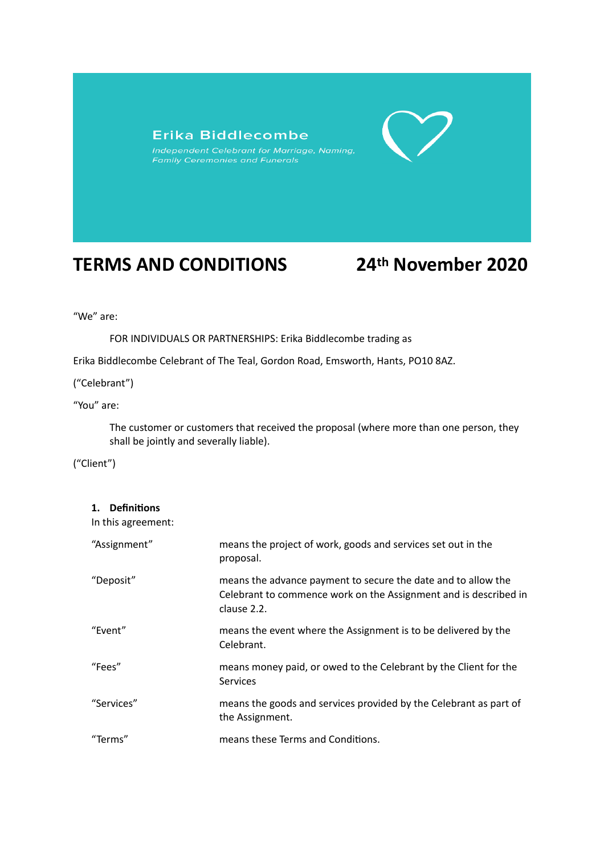## Erika Biddlecombe

# **TERMS AND CONDITIONS 24th November 2020**

"We" are:

FOR INDIVIDUALS OR PARTNERSHIPS: Erika Biddlecombe trading as

Erika Biddlecombe Celebrant of The Teal, Gordon Road, Emsworth, Hants, PO10 8AZ.

("Celebrant")

"You" are:

The customer or customers that received the proposal (where more than one person, they shall be jointly and severally liable).

("Client")

**1. Definitions**

In this agreement:

| "Assignment" | means the project of work, goods and services set out in the<br>proposal.                                                                        |
|--------------|--------------------------------------------------------------------------------------------------------------------------------------------------|
| "Deposit"    | means the advance payment to secure the date and to allow the<br>Celebrant to commence work on the Assignment and is described in<br>clause 2.2. |
| "Event"      | means the event where the Assignment is to be delivered by the<br>Celebrant.                                                                     |
| "Fees"       | means money paid, or owed to the Celebrant by the Client for the<br><b>Services</b>                                                              |
| "Services"   | means the goods and services provided by the Celebrant as part of<br>the Assignment.                                                             |
| "Terms"      | means these Terms and Conditions.                                                                                                                |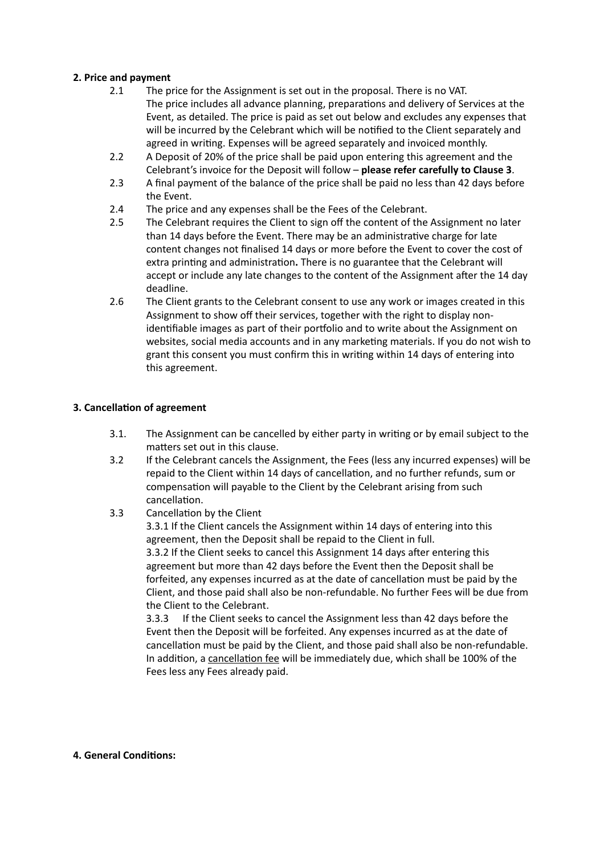### **2. Price and payment**

- 2.1 The price for the Assignment is set out in the proposal. There is no VAT. The price includes all advance planning, preparations and delivery of Services at the Event, as detailed. The price is paid as set out below and excludes any expenses that will be incurred by the Celebrant which will be notified to the Client separately and agreed in writing. Expenses will be agreed separately and invoiced monthly.
- 2.2 A Deposit of 20% of the price shall be paid upon entering this agreement and the Celebrant's invoice for the Deposit will follow – **please refer carefully to Clause 3**.
- 2.3 A final payment of the balance of the price shall be paid no less than 42 days before the Event.
- 2.4 The price and any expenses shall be the Fees of the Celebrant.
- 2.5 The Celebrant requires the Client to sign off the content of the Assignment no later than 14 days before the Event. There may be an administrative charge for late content changes not finalised 14 days or more before the Event to cover the cost of extra printing and administration**.** There is no guarantee that the Celebrant will accept or include any late changes to the content of the Assignment after the 14 day deadline.
- 2.6 The Client grants to the Celebrant consent to use any work or images created in this Assignment to show off their services, together with the right to display nonidentifiable images as part of their portfolio and to write about the Assignment on websites, social media accounts and in any marketing materials. If you do not wish to grant this consent you must confirm this in writing within 14 days of entering into this agreement.

### **3. Cancellation of agreement**

- 3.1. The Assignment can be cancelled by either party in writing or by email subject to the matters set out in this clause.
- 3.2 If the Celebrant cancels the Assignment, the Fees (less any incurred expenses) will be repaid to the Client within 14 days of cancellation, and no further refunds, sum or compensation will payable to the Client by the Celebrant arising from such cancellation.
- 3.3 Cancellation by the Client

3.3.1 If the Client cancels the Assignment within 14 days of entering into this agreement, then the Deposit shall be repaid to the Client in full. 3.3.2 If the Client seeks to cancel this Assignment 14 days after entering this agreement but more than 42 days before the Event then the Deposit shall be forfeited, any expenses incurred as at the date of cancellation must be paid by the Client, and those paid shall also be non-refundable. No further Fees will be due from the Client to the Celebrant.

3.3.3 If the Client seeks to cancel the Assignment less than 42 days before the Event then the Deposit will be forfeited. Any expenses incurred as at the date of cancellation must be paid by the Client, and those paid shall also be non-refundable. In addition, a cancellation fee will be immediately due, which shall be 100% of the Fees less any Fees already paid.

#### **4. General Conditions:**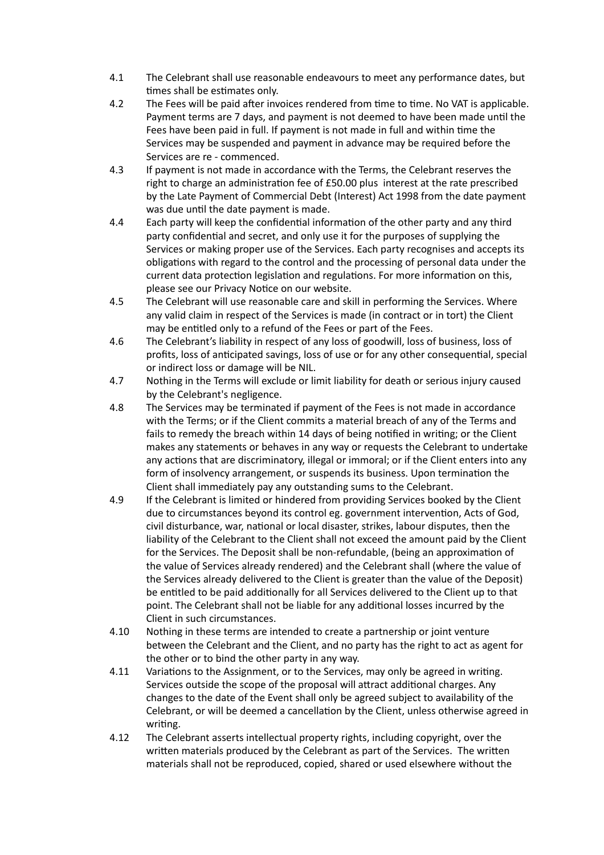- 4.1 The Celebrant shall use reasonable endeavours to meet any performance dates, but times shall be estimates only.
- 4.2 The Fees will be paid after invoices rendered from time to time. No VAT is applicable. Payment terms are 7 days, and payment is not deemed to have been made until the Fees have been paid in full. If payment is not made in full and within time the Services may be suspended and payment in advance may be required before the Services are re - commenced.
- 4.3 If payment is not made in accordance with the Terms, the Celebrant reserves the right to charge an administration fee of £50.00 plus interest at the rate prescribed by the Late Payment of Commercial Debt (Interest) Act 1998 from the date payment was due until the date payment is made.
- 4.4 Each party will keep the confidential information of the other party and any third party confidential and secret, and only use it for the purposes of supplying the Services or making proper use of the Services. Each party recognises and accepts its obligations with regard to the control and the processing of personal data under the current data protection legislation and regulations. For more information on this, please see our Privacy Notice on our website.
- 4.5 The Celebrant will use reasonable care and skill in performing the Services. Where any valid claim in respect of the Services is made (in contract or in tort) the Client may be entitled only to a refund of the Fees or part of the Fees.
- 4.6 The Celebrant's liability in respect of any loss of goodwill, loss of business, loss of profits, loss of anticipated savings, loss of use or for any other consequential, special or indirect loss or damage will be NIL.
- 4.7 Nothing in the Terms will exclude or limit liability for death or serious injury caused by the Celebrant's negligence.
- 4.8 The Services may be terminated if payment of the Fees is not made in accordance with the Terms; or if the Client commits a material breach of any of the Terms and fails to remedy the breach within 14 days of being notified in writing; or the Client makes any statements or behaves in any way or requests the Celebrant to undertake any actions that are discriminatory, illegal or immoral; or if the Client enters into any form of insolvency arrangement, or suspends its business. Upon termination the Client shall immediately pay any outstanding sums to the Celebrant.
- 4.9 If the Celebrant is limited or hindered from providing Services booked by the Client due to circumstances beyond its control eg. government intervention, Acts of God, civil disturbance, war, national or local disaster, strikes, labour disputes, then the liability of the Celebrant to the Client shall not exceed the amount paid by the Client for the Services. The Deposit shall be non-refundable, (being an approximation of the value of Services already rendered) and the Celebrant shall (where the value of the Services already delivered to the Client is greater than the value of the Deposit) be entitled to be paid additionally for all Services delivered to the Client up to that point. The Celebrant shall not be liable for any additional losses incurred by the Client in such circumstances.
- 4.10 Nothing in these terms are intended to create a partnership or joint venture between the Celebrant and the Client, and no party has the right to act as agent for the other or to bind the other party in any way.
- 4.11 Variations to the Assignment, or to the Services, may only be agreed in writing. Services outside the scope of the proposal will attract additional charges. Any changes to the date of the Event shall only be agreed subject to availability of the Celebrant, or will be deemed a cancellation by the Client, unless otherwise agreed in writing.
- 4.12 The Celebrant asserts intellectual property rights, including copyright, over the written materials produced by the Celebrant as part of the Services. The written materials shall not be reproduced, copied, shared or used elsewhere without the